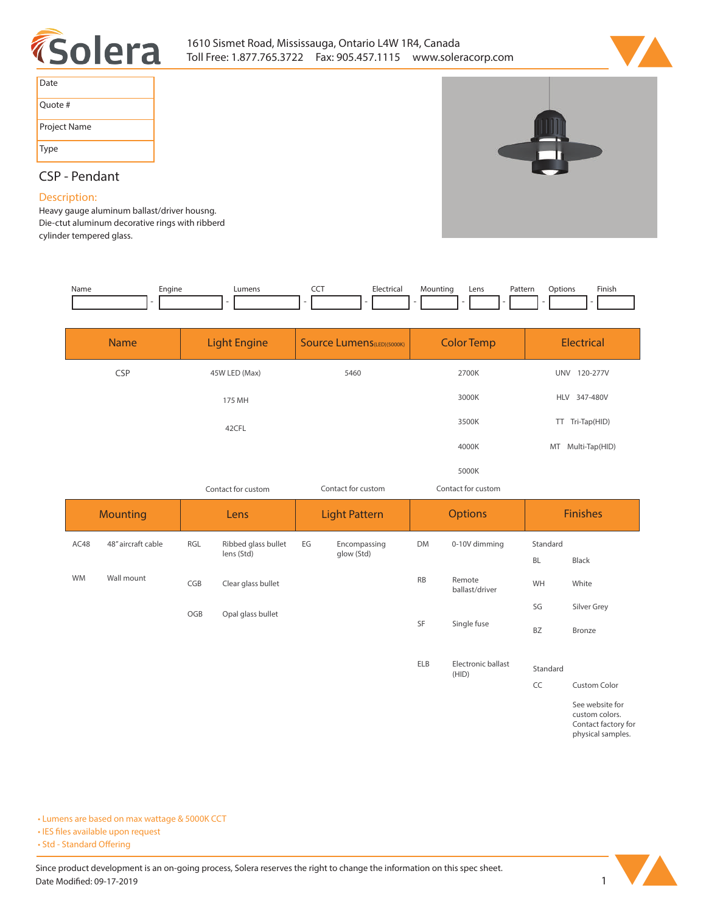



| Date         |
|--------------|
| Ouote #      |
| Project Name |
| Type         |

# **CSP - Pendant**

## **Description:**

**Heavy gauge aluminum ballast/driver housng. Die-ctut aluminum decorative rings with ribberd cylinder tempered glass.**

| Name | Engine | Lumens | --- | Electrical | Mounting | Lens | Pattern | )ptions | Finish |
|------|--------|--------|-----|------------|----------|------|---------|---------|--------|
|      |        |        |     |            | . .      |      |         |         |        |

| <b>Name</b> | <b>Light Engine</b> | <b>Source Lumens</b> (LED)(5000K) | <b>Color Temp</b>  | <b>Electrical</b>      |
|-------------|---------------------|-----------------------------------|--------------------|------------------------|
| <b>CSP</b>  | 45W LED (Max)       | 5460                              | 2700K              | 120-277V<br><b>UNV</b> |
|             | 175 MH              |                                   | 3000K              | HLV 347-480V           |
|             | 42CFL               |                                   | 3500K              | Tri-Tap(HID)<br>TT     |
|             |                     |                                   | 4000K              | MT Multi-Tap(HID)      |
|             |                     |                                   | 5000K              |                        |
|             | Contact for custom  | Contact for custom                | Contact for custom |                        |

| <b>Mounting</b> |                    | Lens |                                   | <b>Light Pattern</b> |                            | <b>Options</b> |                             | <b>Finishes</b>       |             |
|-----------------|--------------------|------|-----------------------------------|----------------------|----------------------------|----------------|-----------------------------|-----------------------|-------------|
| AC48            | 48" aircraft cable | RGL  | Ribbed glass bullet<br>lens (Std) | EG                   | Encompassing<br>glow (Std) | DM             | 0-10V dimming               | Standard<br><b>BL</b> | Black       |
| <b>WM</b>       | Wall mount         | CGB  | Clear glass bullet                |                      |                            | <b>RB</b>      | Remote<br>ballast/driver    | WH                    | White       |
|                 |                    | OGB  | Opal glass bullet                 |                      |                            |                |                             | SG                    | Silver Grey |
|                 |                    |      |                                   |                      |                            | SF             | Single fuse                 | <b>BZ</b>             | Bronze      |
|                 |                    |      |                                   |                      |                            | <b>ELB</b>     | Electronic ballast<br>(HID) | Standard              |             |

**CC Custom Color See website for custom colors. Contact factory for physical samples.** 

**• Lumens are based on max wattage & 5000K CCT**

**• IES files available upon request** 

• Std - Standard Offering

Since product development is an on-going process, Solera reserves the right to change the information on this spec sheet. **Date Modified: 09-17-2019** 1